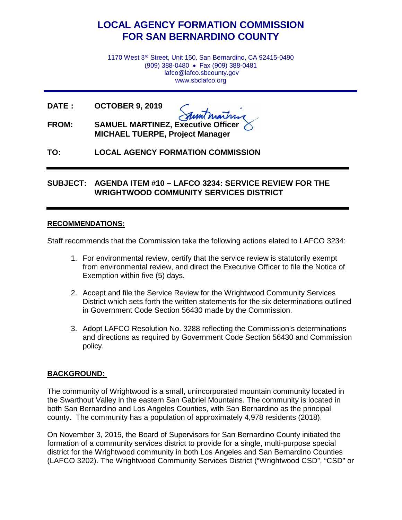# **LOCAL AGENCY FORMATION COMMISSION FOR SAN BERNARDINO COUNTY**

1170 West 3rd Street, Unit 150, San Bernardino, CA 92415-0490 (909) 388-0480 • Fax (909) 388-0481 lafco@lafco.sbcounty.gov www.sbclafco.org

**DATE : OCTOBER 9, 2019**

- **FROM: SAMUEL MARTINEZ, Executive Officer MICHAEL TUERPE, Project Manager**
- **TO: LOCAL AGENCY FORMATION COMMISSION**

# **SUBJECT: AGENDA ITEM #10 – LAFCO 3234: SERVICE REVIEW FOR THE WRIGHTWOOD COMMUNITY SERVICES DISTRICT**

#### **RECOMMENDATIONS:**

Staff recommends that the Commission take the following actions elated to LAFCO 3234:

- 1. For environmental review, certify that the service review is statutorily exempt from environmental review, and direct the Executive Officer to file the Notice of Exemption within five (5) days.
- 2. Accept and file the Service Review for the Wrightwood Community Services District which sets forth the written statements for the six determinations outlined in Government Code Section 56430 made by the Commission.
- 3. Adopt LAFCO Resolution No. 3288 reflecting the Commission's determinations and directions as required by Government Code Section 56430 and Commission policy.

### **BACKGROUND:**

The community of Wrightwood is a small, unincorporated mountain community located in the Swarthout Valley in the eastern San Gabriel Mountains. The community is located in both San Bernardino and Los Angeles Counties, with San Bernardino as the principal county. The community has a population of approximately 4,978 residents (2018).

On November 3, 2015, the Board of Supervisors for San Bernardino County initiated the formation of a community services district to provide for a single, multi-purpose special district for the Wrightwood community in both Los Angeles and San Bernardino Counties (LAFCO 3202). The Wrightwood Community Services District ("Wrightwood CSD", "CSD" or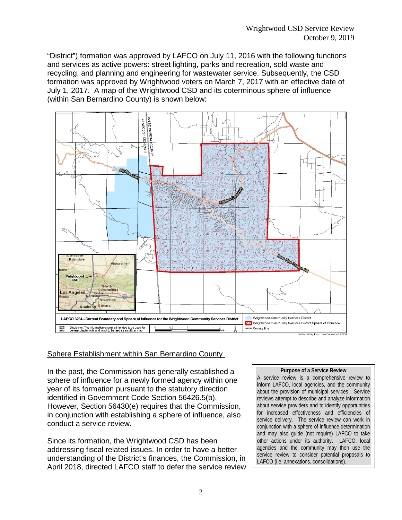"District") formation was approved by LAFCO on July 11, 2016 with the following functions and services as active powers: street lighting, parks and recreation, sold waste and recycling, and planning and engineering for wastewater service. Subsequently, the CSD formation was approved by Wrightwood voters on March 7, 2017 with an effective date of July 1, 2017. A map of the Wrightwood CSD and its coterminous sphere of influence (within San Bernardino County) is shown below:



#### Sphere Establishment within San Bernardino County

In the past, the Commission has generally established a sphere of influence for a newly formed agency within one year of its formation pursuant to the statutory direction identified in Government Code Section 56426.5(b). However, Section 56430(e) requires that the Commission, in conjunction with establishing a sphere of influence, also conduct a service review.

Since its formation, the Wrightwood CSD has been addressing fiscal related issues. In order to have a better understanding of the District's finances, the Commission, in April 2018, directed LAFCO staff to defer the service review

#### **Purpose of a Service Review**

A service review is a comprehensive review to inform LAFCO, local agencies, and the community about the provision of municipal services. Service reviews attempt to describe and analyze information about service providers and to identify opportunities for increased effectiveness and efficiencies of service delivery. The service review can work in conjunction with a sphere of influence determination and may also guide (not require) LAFCO to take other actions under its authority. LAFCO, local agencies and the community may then use the service review to consider potential proposals to LAFCO (i.e. annexations, consolidations).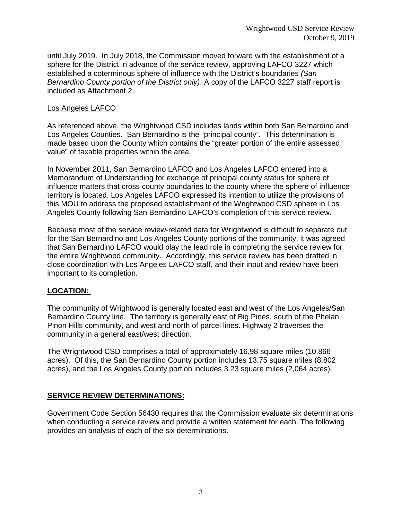until July 2019. In July 2018, the Commission moved forward with the establishment of a sphere for the District in advance of the service review, approving LAFCO 3227 which established a coterminous sphere of influence with the District's boundaries *(San Bernardino County portion of the District only)*. A copy of the LAFCO 3227 staff report is included as Attachment 2.

#### Los Angeles LAFCO

As referenced above, the Wrightwood CSD includes lands within both San Bernardino and Los Angeles Counties. San Bernardino is the "principal county". This determination is made based upon the County which contains the "greater portion of the entire assessed value" of taxable properties within the area.

In November 2011, San Bernardino LAFCO and Los Angeles LAFCO entered into a Memorandum of Understanding for exchange of principal county status for sphere of influence matters that cross county boundaries to the county where the sphere of influence territory is located. Los Angeles LAFCO expressed its intention to utilize the provisions of this MOU to address the proposed establishment of the Wrightwood CSD sphere in Los Angeles County following San Bernardino LAFCO's completion of this service review.

Because most of the service review-related data for Wrightwood is difficult to separate out for the San Bernardino and Los Angeles County portions of the community, it was agreed that San Bernardino LAFCO would play the lead role in completing the service review for the entire Wrightwood community. Accordingly, this service review has been drafted in close coordination with Los Angeles LAFCO staff, and their input and review have been important to its completion.

### **LOCATION:**

The community of Wrightwood is generally located east and west of the Los Angeles/San Bernardino County line. The territory is generally east of Big Pines, south of the Phelan Pinon Hills community, and west and north of parcel lines. Highway 2 traverses the community in a general east/west direction.

The Wrightwood CSD comprises a total of approximately 16.98 square miles (10,866 acres). Of this, the San Bernardino County portion includes 13.75 square miles (8,802 acres), and the Los Angeles County portion includes 3.23 square miles (2,064 acres).

### **SERVICE REVIEW DETERMINATIONS:**

Government Code Section 56430 requires that the Commission evaluate six determinations when conducting a service review and provide a written statement for each. The following provides an analysis of each of the six determinations.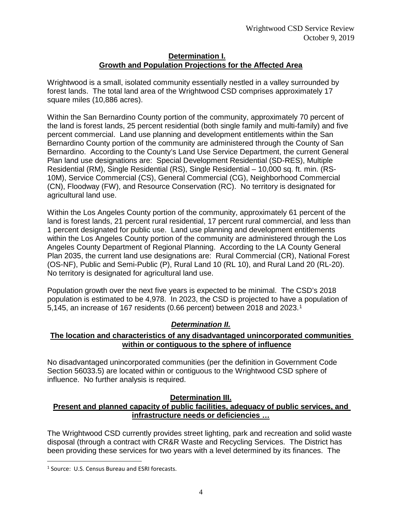#### **Determination I. Growth and Population Projections for the Affected Area**

Wrightwood is a small, isolated community essentially nestled in a valley surrounded by forest lands. The total land area of the Wrightwood CSD comprises approximately 17 square miles (10,886 acres).

Within the San Bernardino County portion of the community, approximately 70 percent of the land is forest lands, 25 percent residential (both single family and multi-family) and five percent commercial. Land use planning and development entitlements within the San Bernardino County portion of the community are administered through the County of San Bernardino. According to the County's Land Use Service Department, the current General Plan land use designations are: Special Development Residential (SD-RES), Multiple Residential (RM), Single Residential (RS), Single Residential – 10,000 sq. ft. min. (RS-10M), Service Commercial (CS), General Commercial (CG), Neighborhood Commercial (CN), Floodway (FW), and Resource Conservation (RC). No territory is designated for agricultural land use.

Within the Los Angeles County portion of the community, approximately 61 percent of the land is forest lands, 21 percent rural residential, 17 percent rural commercial, and less than 1 percent designated for public use. Land use planning and development entitlements within the Los Angeles County portion of the community are administered through the Los Angeles County Department of Regional Planning. According to the LA County General Plan 2035, the current land use designations are: Rural Commercial (CR), National Forest (OS-NF), Public and Semi-Public (P), Rural Land 10 (RL 10), and Rural Land 20 (RL-20). No territory is designated for agricultural land use.

Population growth over the next five years is expected to be minimal. The CSD's 2018 population is estimated to be 4,978. In 2023, the CSD is projected to have a population of 5,145, an increase of 167 residents (0.66 percent) between 2018 and 2023.[1](#page-3-0)

### *Determination II.*

# **The location and characteristics of any disadvantaged unincorporated communities within or contiguous to the sphere of influence**

No disadvantaged unincorporated communities (per the definition in Government Code Section 56033.5) are located within or contiguous to the Wrightwood CSD sphere of influence. No further analysis is required.

#### **Determination III.**

#### **Present and planned capacity of public facilities, adequacy of public services, and infrastructure needs or deficiencies …**

The Wrightwood CSD currently provides street lighting, park and recreation and solid waste disposal (through a contract with CR&R Waste and Recycling Services. The District has been providing these services for two years with a level determined by its finances. The

 $\overline{a}$ 

<span id="page-3-0"></span><sup>&</sup>lt;sup>1</sup> Source: U.S. Census Bureau and ESRI forecasts.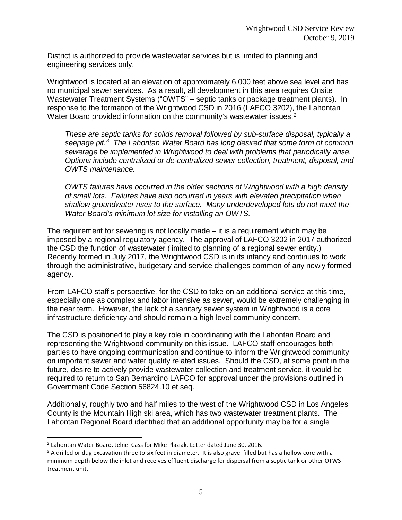District is authorized to provide wastewater services but is limited to planning and engineering services only.

Wrightwood is located at an elevation of approximately 6,000 feet above sea level and has no municipal sewer services. As a result, all development in this area requires Onsite Wastewater Treatment Systems ("OWTS" – septic tanks or package treatment plants). In response to the formation of the Wrightwood CSD in 2016 (LAFCO 3202), the Lahontan Water Board provided information on the community's wastewater issues.<sup>[2](#page-4-0)</sup>

*These are septic tanks for solids removal followed by sub-surface disposal, typically a seepage pit.[3](#page-4-1) The Lahontan Water Board has long desired that some form of common sewerage be implemented in Wrightwood to deal with problems that periodically arise. Options include centralized or de-centralized sewer collection, treatment, disposal, and OWTS maintenance.* 

*OWTS failures have occurred in the older sections of Wrightwood with a high density of small lots. Failures have also occurred in years with elevated precipitation when shallow groundwater rises to the surface. Many underdeveloped lots do not meet the Water Board's minimum lot size for installing an OWTS.*

The requirement for sewering is not locally made – it is a requirement which may be imposed by a regional regulatory agency. The approval of LAFCO 3202 in 2017 authorized the CSD the function of wastewater (limited to planning of a regional sewer entity.) Recently formed in July 2017, the Wrightwood CSD is in its infancy and continues to work through the administrative, budgetary and service challenges common of any newly formed agency.

From LAFCO staff's perspective, for the CSD to take on an additional service at this time, especially one as complex and labor intensive as sewer, would be extremely challenging in the near term. However, the lack of a sanitary sewer system in Wrightwood is a core infrastructure deficiency and should remain a high level community concern.

The CSD is positioned to play a key role in coordinating with the Lahontan Board and representing the Wrightwood community on this issue. LAFCO staff encourages both parties to have ongoing communication and continue to inform the Wrightwood community on important sewer and water quality related issues. Should the CSD, at some point in the future, desire to actively provide wastewater collection and treatment service, it would be required to return to San Bernardino LAFCO for approval under the provisions outlined in Government Code Section 56824.10 et seq.

Additionally, roughly two and half miles to the west of the Wrightwood CSD in Los Angeles County is the Mountain High ski area, which has two wastewater treatment plants. The Lahontan Regional Board identified that an additional opportunity may be for a single

 $\overline{a}$ 

<span id="page-4-0"></span><sup>2</sup> Lahontan Water Board. Jehiel Cass for Mike Plaziak. Letter dated June 30, 2016.

<span id="page-4-1"></span> $3$  A drilled or dug excavation three to six feet in diameter. It is also gravel filled but has a hollow core with a minimum depth below the inlet and receives effluent discharge for dispersal from a septic tank or other OTWS treatment unit.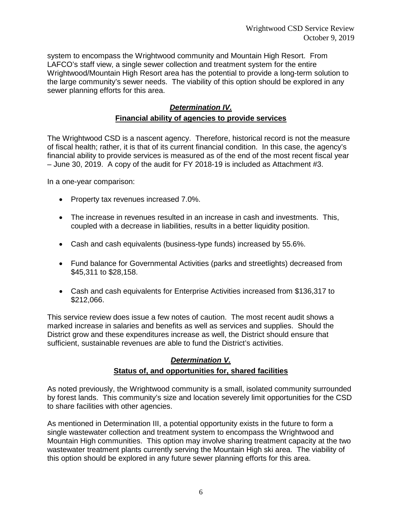system to encompass the Wrightwood community and Mountain High Resort. From LAFCO's staff view, a single sewer collection and treatment system for the entire Wrightwood/Mountain High Resort area has the potential to provide a long-term solution to the large community's sewer needs. The viability of this option should be explored in any sewer planning efforts for this area.

#### *Determination IV.*

#### **Financial ability of agencies to provide services**

The Wrightwood CSD is a nascent agency. Therefore, historical record is not the measure of fiscal health; rather, it is that of its current financial condition. In this case, the agency's financial ability to provide services is measured as of the end of the most recent fiscal year – June 30, 2019. A copy of the audit for FY 2018-19 is included as Attachment #3.

In a one-year comparison:

- Property tax revenues increased 7.0%.
- The increase in revenues resulted in an increase in cash and investments. This, coupled with a decrease in liabilities, results in a better liquidity position.
- Cash and cash equivalents (business-type funds) increased by 55.6%.
- Fund balance for Governmental Activities (parks and streetlights) decreased from \$45,311 to \$28,158.
- Cash and cash equivalents for Enterprise Activities increased from \$136,317 to \$212,066.

This service review does issue a few notes of caution. The most recent audit shows a marked increase in salaries and benefits as well as services and supplies. Should the District grow and these expenditures increase as well, the District should ensure that sufficient, sustainable revenues are able to fund the District's activities.

#### *Determination V.*

### **Status of, and opportunities for, shared facilities**

As noted previously, the Wrightwood community is a small, isolated community surrounded by forest lands. This community's size and location severely limit opportunities for the CSD to share facilities with other agencies.

As mentioned in Determination III, a potential opportunity exists in the future to form a single wastewater collection and treatment system to encompass the Wrightwood and Mountain High communities. This option may involve sharing treatment capacity at the two wastewater treatment plants currently serving the Mountain High ski area. The viability of this option should be explored in any future sewer planning efforts for this area.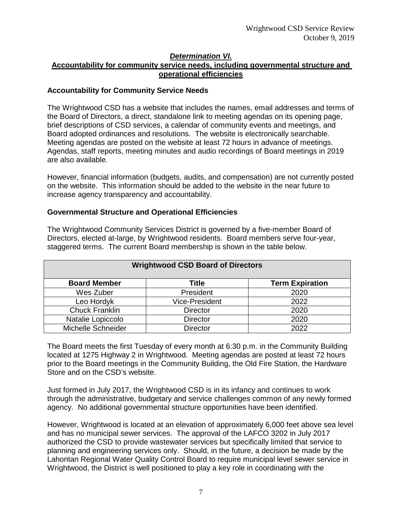### *Determination VI.*

## **Accountability for community service needs, including governmental structure and operational efficiencies**

#### **Accountability for Community Service Needs**

The Wrightwood CSD has a website that includes the names, email addresses and terms of the Board of Directors, a direct, standalone link to meeting agendas on its opening page, brief descriptions of CSD services, a calendar of community events and meetings, and Board adopted ordinances and resolutions. The website is electronically searchable. Meeting agendas are posted on the website at least 72 hours in advance of meetings. Agendas, staff reports, meeting minutes and audio recordings of Board meetings in 2019 are also available.

However, financial information (budgets, audits, and compensation) are not currently posted on the website. This information should be added to the website in the near future to increase agency transparency and accountability.

#### **Governmental Structure and Operational Efficiencies**

The Wrightwood Community Services District is governed by a five-member Board of Directors, elected at-large, by Wrightwood residents. Board members serve four-year, staggered terms. The current Board membership is shown in the table below.

| <b>Wrightwood CSD Board of Directors</b> |                       |                        |
|------------------------------------------|-----------------------|------------------------|
| <b>Board Member</b>                      | <b>Title</b>          | <b>Term Expiration</b> |
| Wes Zuber                                | President             | 2020                   |
| Leo Hordyk                               | <b>Vice-President</b> | 2022                   |
| <b>Chuck Franklin</b>                    | <b>Director</b>       | 2020                   |
| Natalie Lopiccolo                        | <b>Director</b>       | 2020                   |
| Michelle Schneider                       | Director              | 2022                   |

The Board meets the first Tuesday of every month at 6:30 p.m. in the Community Building located at 1275 Highway 2 in Wrightwood. Meeting agendas are posted at least 72 hours prior to the Board meetings in the Community Building, the Old Fire Station, the Hardware Store and on the CSD's website.

Just formed in July 2017, the Wrightwood CSD is in its infancy and continues to work through the administrative, budgetary and service challenges common of any newly formed agency. No additional governmental structure opportunities have been identified.

However, Wrightwood is located at an elevation of approximately 6,000 feet above sea level and has no municipal sewer services. The approval of the LAFCO 3202 in July 2017 authorized the CSD to provide wastewater services but specifically limited that service to planning and engineering services only. Should, in the future, a decision be made by the Lahontan Regional Water Quality Control Board to require municipal level sewer service in Wrightwood, the District is well positioned to play a key role in coordinating with the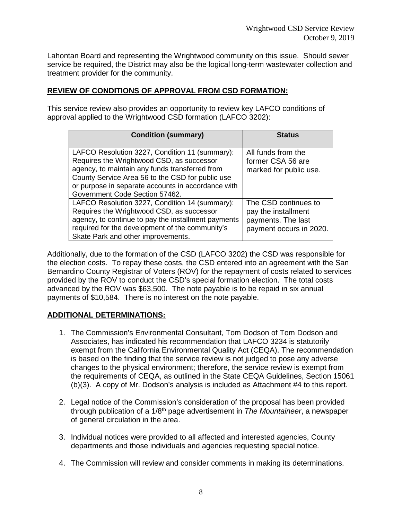Lahontan Board and representing the Wrightwood community on this issue. Should sewer service be required, the District may also be the logical long-term wastewater collection and treatment provider for the community.

### **REVIEW OF CONDITIONS OF APPROVAL FROM CSD FORMATION:**

This service review also provides an opportunity to review key LAFCO conditions of approval applied to the Wrightwood CSD formation (LAFCO 3202):

| <b>Condition (summary)</b>                                                                                                                                                                                                                                                                | <b>Status</b>                                                                                |
|-------------------------------------------------------------------------------------------------------------------------------------------------------------------------------------------------------------------------------------------------------------------------------------------|----------------------------------------------------------------------------------------------|
| LAFCO Resolution 3227, Condition 11 (summary):<br>Requires the Wrightwood CSD, as successor<br>agency, to maintain any funds transferred from<br>County Service Area 56 to the CSD for public use<br>or purpose in separate accounts in accordance with<br>Government Code Section 57462. | All funds from the<br>former CSA 56 are<br>marked for public use.                            |
| LAFCO Resolution 3227, Condition 14 (summary):<br>Requires the Wrightwood CSD, as successor<br>agency, to continue to pay the installment payments<br>required for the development of the community's<br>Skate Park and other improvements.                                               | The CSD continues to<br>pay the installment<br>payments. The last<br>payment occurs in 2020. |

Additionally, due to the formation of the CSD (LAFCO 3202) the CSD was responsible for the election costs. To repay these costs, the CSD entered into an agreement with the San Bernardino County Registrar of Voters (ROV) for the repayment of costs related to services provided by the ROV to conduct the CSD's special formation election. The total costs advanced by the ROV was \$63,500. The note payable is to be repaid in six annual payments of \$10,584. There is no interest on the note payable.

### **ADDITIONAL DETERMINATIONS:**

- 1. The Commission's Environmental Consultant, Tom Dodson of Tom Dodson and Associates, has indicated his recommendation that LAFCO 3234 is statutorily exempt from the California Environmental Quality Act (CEQA). The recommendation is based on the finding that the service review is not judged to pose any adverse changes to the physical environment; therefore, the service review is exempt from the requirements of CEQA, as outlined in the State CEQA Guidelines, Section 15061 (b)(3). A copy of Mr. Dodson's analysis is included as Attachment #4 to this report.
- 2. Legal notice of the Commission's consideration of the proposal has been provided through publication of a 1/8th page advertisement in *The Mountaineer*, a newspaper of general circulation in the area.
- 3. Individual notices were provided to all affected and interested agencies, County departments and those individuals and agencies requesting special notice.
- 4. The Commission will review and consider comments in making its determinations.